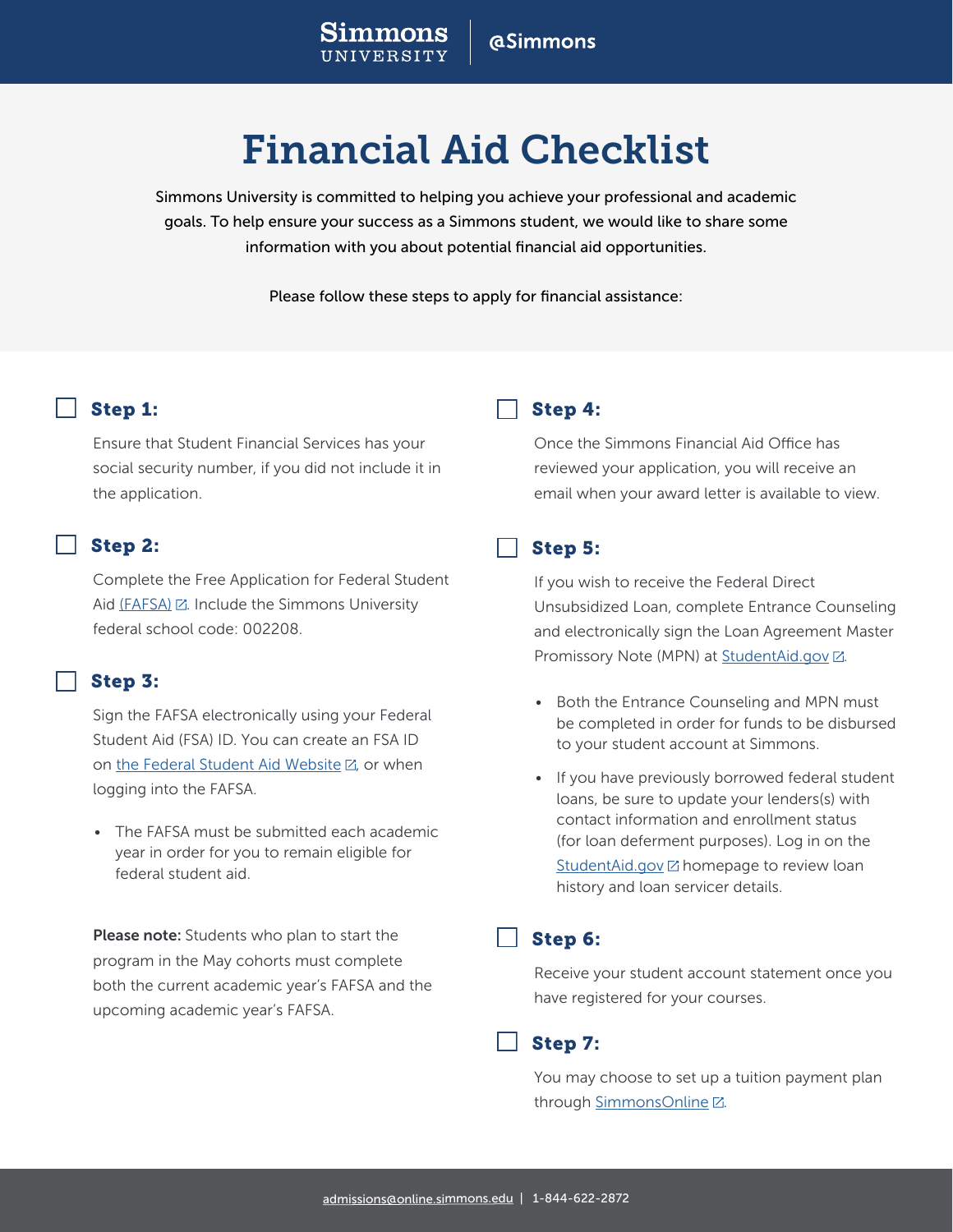# **aSimmons**

# Financial Aid Checklist

Simmons University is committed to helping you achieve your professional and academic goals. To help ensure your success as a Simmons student, we would like to share some information with you about potential financial aid opportunities.

Please follow these steps to apply for financial assistance:

# Step 1:

Ensure that Student Financial Services has your social security number, if you did not include it in the application.

# Step 2:

Complete the Free Application for Federal Student Aid [\(FAFSA\)](https://studentaid.ed.gov/sa/fafsa) . Include the Simmons University federal school code: 002208.

### Step 3:

Sign the FAFSA electronically using your Federal Student Aid (FSA) ID. You can create an FSA ID on [the Federal Student Aid Website](https://fsaid.ed.gov/npas/index.htm)  $\boxtimes$ , or when logging into the FAFSA.

• The FAFSA must be submitted each academic year in order for you to remain eligible for federal student aid.

**Please note:** Students who plan to start the program in the May cohorts must complete both the current academic year's FAFSA and the upcoming academic year's FAFSA.

# Step 4:

Once the Simmons Financial Aid Office has reviewed your application, you will receive an email when your award letter is available to view.

#### Step 5:

If you wish to receive the Federal Direct Unsubsidized Loan, complete Entrance Counseling and electronically sign the Loan Agreement Master Promissory Note (MPN) at [StudentAid.gov](https://studentaid.gov/h/complete-aid-process) ...

- Both the Entrance Counseling and MPN must be completed in order for funds to be disbursed to your student account at Simmons.
- If you have previously borrowed federal student loans, be sure to update your lenders(s) with contact information and enrollment status (for loan deferment purposes). Log in on the  $StudentMid.gov$   $\boxtimes$  homepage to review loan history and loan servicer details.

### Step 6:

Receive your student account statement once you have registered for your courses.

### Step 7:

You may choose to set up a tuition payment plan through [SimmonsOnline](https://simmonsonline.afford.com/) Z.